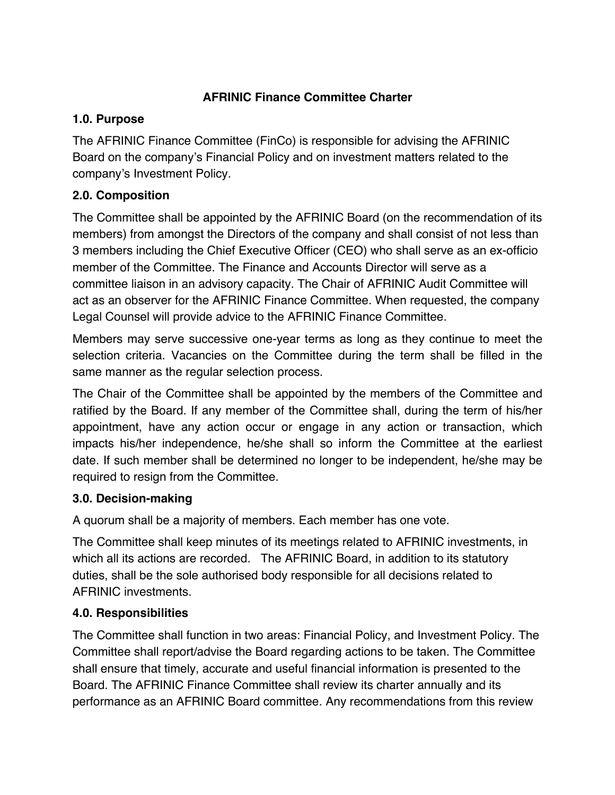# **AFRINIC Finance Committee Charter**

#### **1.0. Purpose**

The AFRINIC Finance Committee (FinCo) is responsible for advising the AFRINIC Board on the company's Financial Policy and on investment matters related to the company's Investment Policy.

#### **2.0. Composition**

The Committee shall be appointed by the AFRINIC Board (on the recommendation of its members) from amongst the Directors of the company and shall consist of not less than 3 members including the Chief Executive Officer (CEO) who shall serve as an ex-officio member of the Committee. The Finance and Accounts Director will serve as a committee liaison in an advisory capacity. The Chair of AFRINIC Audit Committee will act as an observer for the AFRINIC Finance Committee. When requested, the company Legal Counsel will provide advice to the AFRINIC Finance Committee.

Members may serve successive one-year terms as long as they continue to meet the selection criteria. Vacancies on the Committee during the term shall be filled in the same manner as the regular selection process.

The Chair of the Committee shall be appointed by the members of the Committee and ratified by the Board. If any member of the Committee shall, during the term of his/her appointment, have any action occur or engage in any action or transaction, which impacts his/her independence, he/she shall so inform the Committee at the earliest date. If such member shall be determined no longer to be independent, he/she may be required to resign from the Committee.

## **3.0. Decision-making**

A quorum shall be a majority of members. Each member has one vote.

The Committee shall keep minutes of its meetings related to AFRINIC investments, in which all its actions are recorded. The AFRINIC Board, in addition to its statutory duties, shall be the sole authorised body responsible for all decisions related to AFRINIC investments.

## **4.0. Responsibilities**

The Committee shall function in two areas: Financial Policy, and Investment Policy. The Committee shall report/advise the Board regarding actions to be taken. The Committee shall ensure that timely, accurate and useful financial information is presented to the Board. The AFRINIC Finance Committee shall review its charter annually and its performance as an AFRINIC Board committee. Any recommendations from this review